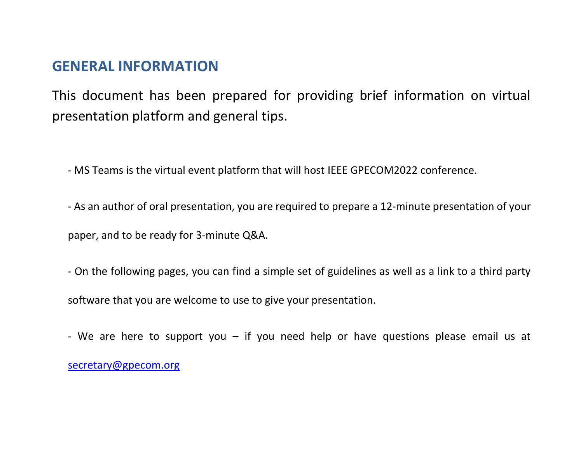## **GENERAL INFORMATION**

This document has been prepared for providing brief information on virtual presentation platform and general tips.

- MS Teams is the virtual event platform that will host IEEE GPECOM2022 conference.
- As an author of oral presentation, you are required to prepare a 12-minute presentation of your

paper, and to be ready for 3-minute Q&A.

- On the following pages, you can find a simple set of guidelines as well as a link to a third party software that you are welcome to use to give your presentation.
- We are here to support you  $-$  if you need help or have questions please email us at [secretary@gpecom.org](mailto:secretary@gpecom.org)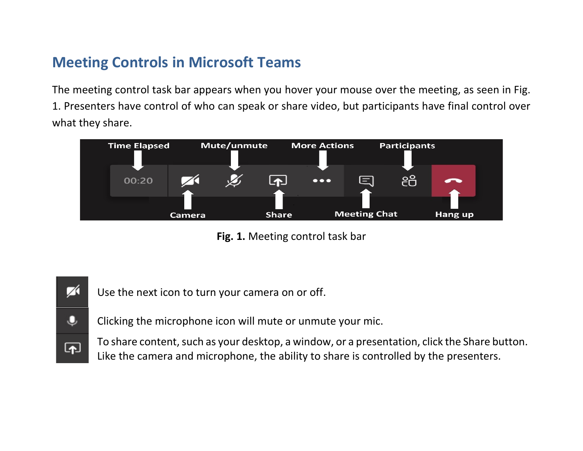## **Meeting Controls in Microsoft Teams**

The meeting control task bar appears when you hover your mouse over the meeting, as seen in Fig. 1. Presenters have control of who can speak or share video, but participants have final control over what they share.



**Fig. 1.** Meeting control task bar

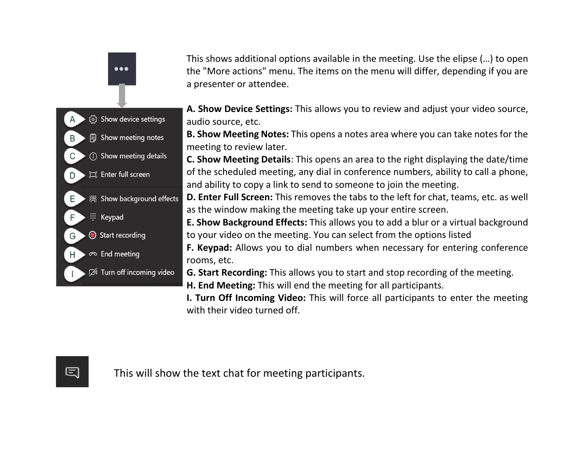This shows additional options available in the meeting. Use the elipse (…) to open the "More actions" menu. The items on the menu will differ, depending if you are a presenter or attendee.

**A. Show Device Settings:** This allows you to review and adjust your video source, audio source, etc.

**B. Show Meeting Notes:** This opens a notes area where you can take notes for the meeting to review later.

**C. Show Meeting Details**: This opens an area to the right displaying the date/time of the scheduled meeting, any dial in conference numbers, ability to call a phone, and ability to copy a link to send to someone to join the meeting.

**D. Enter Full Screen:** This removes the tabs to the left for chat, teams, etc. as well as the window making the meeting take up your entire screen.

**E. Show Background Effects:** This allows you to add a blur or a virtual background to your video on the meeting. You can select from the options listed

**F. Keypad:** Allows you to dial numbers when necessary for entering conference rooms, etc.

**G. Start Recording:** This allows you to start and stop recording of the meeting.

**H. End Meeting:** This will end the meeting for all participants.

**I. Turn Off Incoming Video:** This will force all participants to enter the meeting with their video turned off.

B

D

E

 $\cdots$ 

(o) Show device settings

**iii** Show meeting notes

(i) Show meeting details

《 Show background effects

Turn off incoming video

口 Enter full screen

Start recording

 $\infty$  End meeting

::: Keypad

This will show the text chat for meeting participants.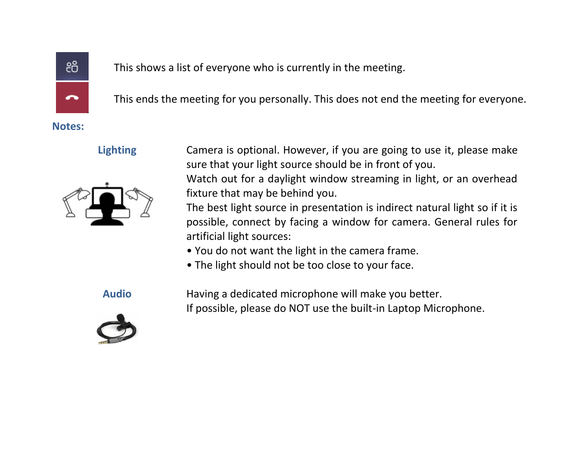

This shows a list of everyone who is currently in the meeting.

This ends the meeting for you personally. This does not end the meeting for everyone.

**Notes:**



**Lighting** Camera is optional. However, if you are going to use it, please make sure that your light source should be in front of you.

> Watch out for a daylight window streaming in light, or an overhead fixture that may be behind you.

> The best light source in presentation is indirect natural light so if it is possible, connect by facing a window for camera. General rules for artificial light sources:

- You do not want the light in the camera frame.
- The light should not be too close to your face.

**Audio** Having a dedicated microphone will make you better. If possible, please do NOT use the built-in Laptop Microphone.

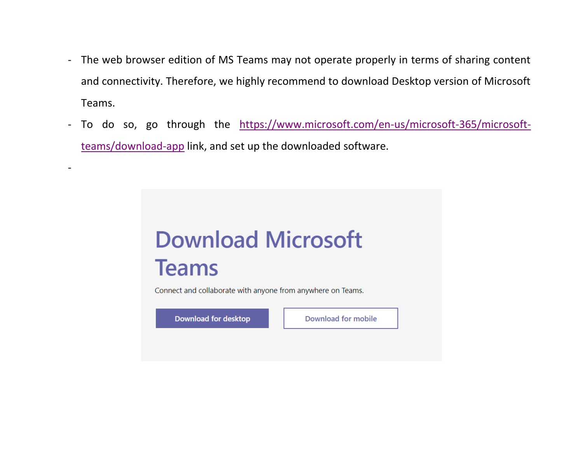- The web browser edition of MS Teams may not operate properly in terms of sharing content and connectivity. Therefore, we highly recommend to download Desktop version of Microsoft Teams.
- To do so, go through the [https://www.microsoft.com/en-us/microsoft-365/microsoft](https://www.microsoft.com/en-us/microsoft-365/microsoft-teams/download-app)[teams/download-app](https://www.microsoft.com/en-us/microsoft-365/microsoft-teams/download-app) link, and set up the downloaded software.



Connect and collaborate with anyone from anywhere on Teams.

Download for desktop

-

**Download for mobile**